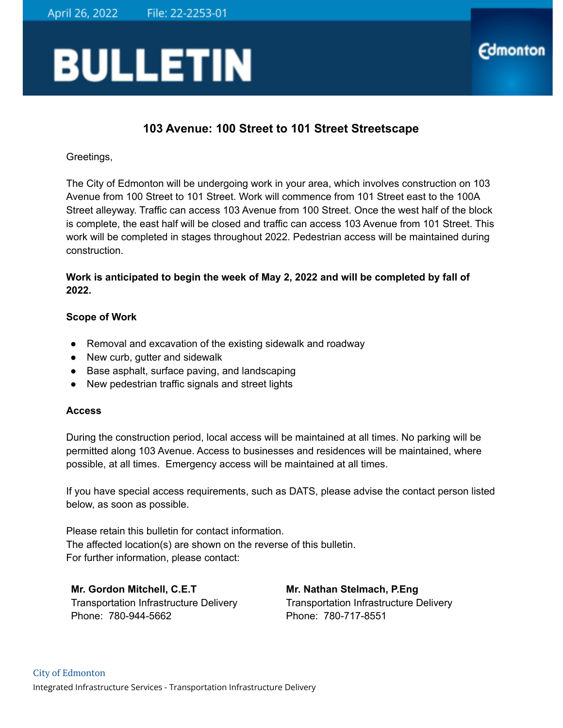## **BULLETIN**

## **103 Avenue: 100 Street to 101 Street Streetscape**

**Edmonton** 

Greetings,

The City of Edmonton will be undergoing work in your area, which involves construction on 103 Avenue from 100 Street to 101 Street. Work will commence from 101 Street east to the 100A Street alleyway. Traffic can access 103 Avenue from 100 Street. Once the west half of the block is complete, the east half will be closed and traffic can access 103 Avenue from 101 Street. This work will be completed in stages throughout 2022. Pedestrian access will be maintained during construction.

**Work is anticipated to begin the week of May 2, 2022 and will be completed by fall of 2022.**

## **Scope of Work**

- Removal and excavation of the existing sidewalk and roadway
- New curb, gutter and sidewalk
- Base asphalt, surface paving, and landscaping
- New pedestrian traffic signals and street lights

## **Access**

During the construction period, local access will be maintained at all times. No parking will be permitted along 103 Avenue. Access to businesses and residences will be maintained, where possible, at all times. Emergency access will be maintained at all times.

If you have special access requirements, such as DATS, please advise the contact person listed below, as soon as possible.

Please retain this bulletin for contact information. The affected location(s) are shown on the reverse of this bulletin. For further information, please contact:

**Mr. Gordon Mitchell, C.E.T** Transportation Infrastructure Delivery Phone: 780-944-5662

**Mr. Nathan Stelmach, P.Eng** Transportation Infrastructure Delivery Phone: 780-717-8551